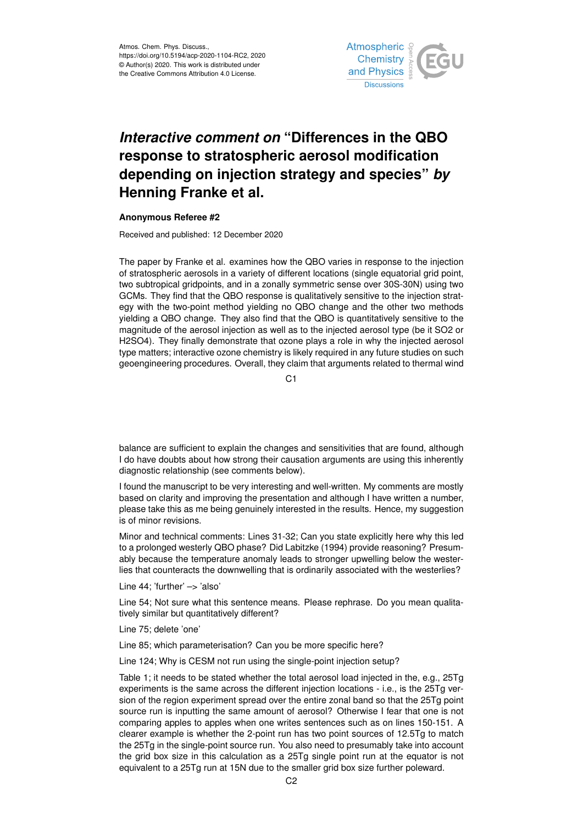

## *Interactive comment on* **"Differences in the QBO response to stratospheric aerosol modification depending on injection strategy and species"** *by* **Henning Franke et al.**

## **Anonymous Referee #2**

Received and published: 12 December 2020

The paper by Franke et al. examines how the QBO varies in response to the injection of stratospheric aerosols in a variety of different locations (single equatorial grid point, two subtropical gridpoints, and in a zonally symmetric sense over 30S-30N) using two GCMs. They find that the QBO response is qualitatively sensitive to the injection strategy with the two-point method yielding no QBO change and the other two methods yielding a QBO change. They also find that the QBO is quantitatively sensitive to the magnitude of the aerosol injection as well as to the injected aerosol type (be it SO2 or H2SO4). They finally demonstrate that ozone plays a role in why the injected aerosol type matters; interactive ozone chemistry is likely required in any future studies on such geoengineering procedures. Overall, they claim that arguments related to thermal wind

C<sub>1</sub>

balance are sufficient to explain the changes and sensitivities that are found, although I do have doubts about how strong their causation arguments are using this inherently diagnostic relationship (see comments below).

I found the manuscript to be very interesting and well-written. My comments are mostly based on clarity and improving the presentation and although I have written a number, please take this as me being genuinely interested in the results. Hence, my suggestion is of minor revisions.

Minor and technical comments: Lines 31-32; Can you state explicitly here why this led to a prolonged westerly QBO phase? Did Labitzke (1994) provide reasoning? Presumably because the temperature anomaly leads to stronger upwelling below the westerlies that counteracts the downwelling that is ordinarily associated with the westerlies?

Line 44; 'further' -> 'also'

Line 54; Not sure what this sentence means. Please rephrase. Do you mean qualitatively similar but quantitatively different?

Line 75; delete 'one'

Line 85; which parameterisation? Can you be more specific here?

Line 124; Why is CESM not run using the single-point injection setup?

Table 1; it needs to be stated whether the total aerosol load injected in the, e.g., 25Tg experiments is the same across the different injection locations - i.e., is the 25Tg version of the region experiment spread over the entire zonal band so that the 25Tg point source run is inputting the same amount of aerosol? Otherwise I fear that one is not comparing apples to apples when one writes sentences such as on lines 150-151. A clearer example is whether the 2-point run has two point sources of 12.5Tg to match the 25Tg in the single-point source run. You also need to presumably take into account the grid box size in this calculation as a 25Tg single point run at the equator is not equivalent to a 25Tg run at 15N due to the smaller grid box size further poleward.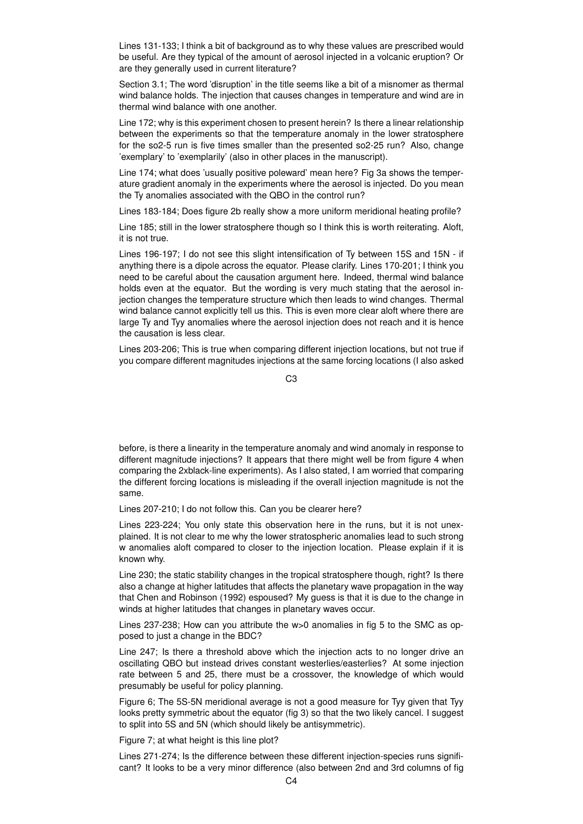Lines 131-133; I think a bit of background as to why these values are prescribed would be useful. Are they typical of the amount of aerosol injected in a volcanic eruption? Or are they generally used in current literature?

Section 3.1; The word 'disruption' in the title seems like a bit of a misnomer as thermal wind balance holds. The injection that causes changes in temperature and wind are in thermal wind balance with one another.

Line 172; why is this experiment chosen to present herein? Is there a linear relationship between the experiments so that the temperature anomaly in the lower stratosphere for the so2-5 run is five times smaller than the presented so2-25 run? Also, change 'exemplary' to 'exemplarily' (also in other places in the manuscript).

Line 174; what does 'usually positive poleward' mean here? Fig 3a shows the temperature gradient anomaly in the experiments where the aerosol is injected. Do you mean the Ty anomalies associated with the QBO in the control run?

Lines 183-184; Does figure 2b really show a more uniform meridional heating profile?

Line 185; still in the lower stratosphere though so I think this is worth reiterating. Aloft, it is not true.

Lines 196-197; I do not see this slight intensification of Ty between 15S and 15N - if anything there is a dipole across the equator. Please clarify. Lines 170-201; I think you need to be careful about the causation argument here. Indeed, thermal wind balance holds even at the equator. But the wording is very much stating that the aerosol injection changes the temperature structure which then leads to wind changes. Thermal wind balance cannot explicitly tell us this. This is even more clear aloft where there are large Ty and Tyy anomalies where the aerosol injection does not reach and it is hence the causation is less clear.

Lines 203-206; This is true when comparing different injection locations, but not true if you compare different magnitudes injections at the same forcing locations (I also asked

C3

before, is there a linearity in the temperature anomaly and wind anomaly in response to different magnitude injections? It appears that there might well be from figure 4 when comparing the 2xblack-line experiments). As I also stated, I am worried that comparing the different forcing locations is misleading if the overall injection magnitude is not the same.

Lines 207-210; I do not follow this. Can you be clearer here?

Lines 223-224; You only state this observation here in the runs, but it is not unexplained. It is not clear to me why the lower stratospheric anomalies lead to such strong w anomalies aloft compared to closer to the injection location. Please explain if it is known why.

Line 230; the static stability changes in the tropical stratosphere though, right? Is there also a change at higher latitudes that affects the planetary wave propagation in the way that Chen and Robinson (1992) espoused? My guess is that it is due to the change in winds at higher latitudes that changes in planetary waves occur.

Lines 237-238; How can you attribute the w>0 anomalies in fig 5 to the SMC as opposed to just a change in the BDC?

Line 247; Is there a threshold above which the injection acts to no longer drive an oscillating QBO but instead drives constant westerlies/easterlies? At some injection rate between 5 and 25, there must be a crossover, the knowledge of which would presumably be useful for policy planning.

Figure 6; The 5S-5N meridional average is not a good measure for Tyy given that Tyy looks pretty symmetric about the equator (fig 3) so that the two likely cancel. I suggest to split into 5S and 5N (which should likely be antisymmetric).

Figure 7; at what height is this line plot?

Lines 271-274; Is the difference between these different injection-species runs significant? It looks to be a very minor difference (also between 2nd and 3rd columns of fig